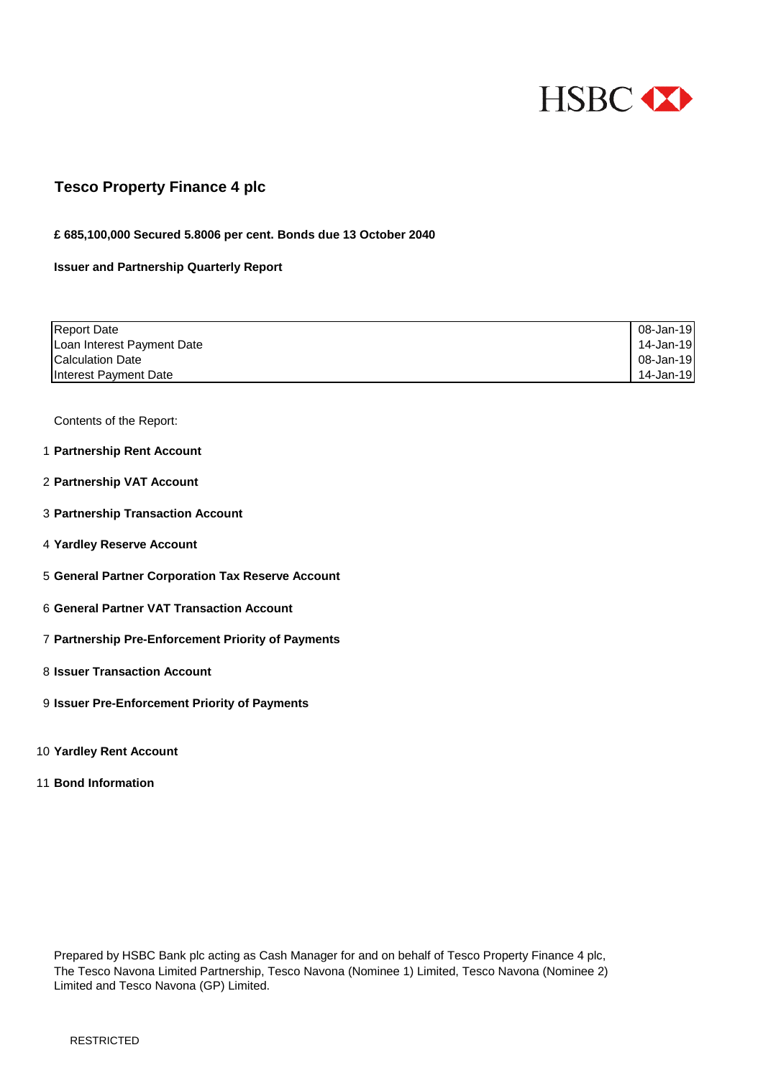

## **Tesco Property Finance 4 plc**

#### **£ 685,100,000 Secured 5.8006 per cent. Bonds due 13 October 2040**

#### **Issuer and Partnership Quarterly Report**

| <b>Report Date</b>         | 08-Jan-19          |
|----------------------------|--------------------|
| Loan Interest Payment Date | 14-Jan-19 <b>1</b> |
| <b>Calculation Date</b>    | 08-Jan-19          |
| Interest Payment Date      | 14-Jan-19 <b>1</b> |

Contents of the Report:

- 1 **Partnership Rent Account**
- 2 **Partnership VAT Account**
- 3 **Partnership Transaction Account**
- 4 **Yardley Reserve Account**
- 5 **General Partner Corporation Tax Reserve Account**
- 6 **General Partner VAT Transaction Account**
- 7 **Partnership Pre-Enforcement Priority of Payments**
- 8 **Issuer Transaction Account**
- 9 **Issuer Pre-Enforcement Priority of Payments**
- 10 **Yardley Rent Account**
- 11 **Bond Information**

Prepared by HSBC Bank plc acting as Cash Manager for and on behalf of Tesco Property Finance 4 plc, The Tesco Navona Limited Partnership, Tesco Navona (Nominee 1) Limited, Tesco Navona (Nominee 2) Limited and Tesco Navona (GP) Limited.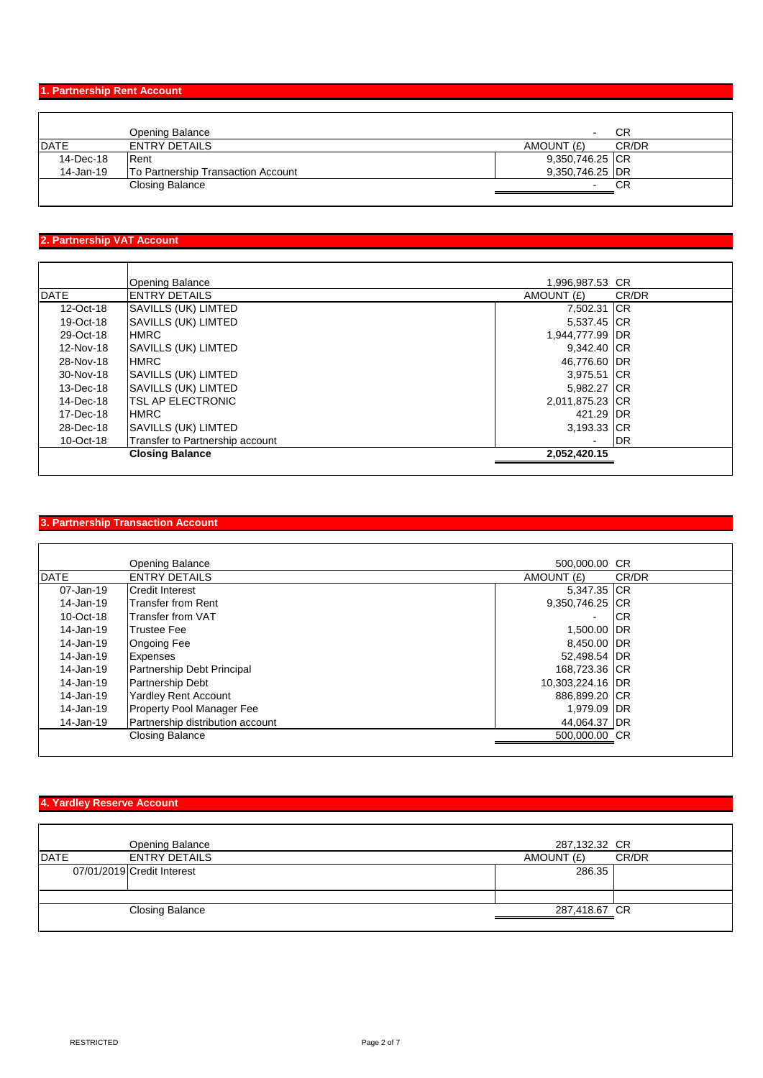#### **1. Partnership Rent Account**

|              | Opening Balance                    | -               | CR    |
|--------------|------------------------------------|-----------------|-------|
| <b>IDATE</b> | <b>ENTRY DETAILS</b>               | AMOUNT (£)      | CR/DR |
| 14-Dec-18    | Rent                               | 9,350,746.25 CR |       |
| 14-Jan-19    | To Partnership Transaction Account | 9,350,746.25 DR |       |
|              | Closing Balance                    |                 | СR    |
|              |                                    |                 |       |

### **2. Partnership VAT Account**

|             | <b>Opening Balance</b>          | 1,996,987.53 CR |            |
|-------------|---------------------------------|-----------------|------------|
| <b>DATE</b> | <b>IENTRY DETAILS</b>           | AMOUNT (£)      | CR/DR      |
| 12-Oct-18   | SAVILLS (UK) LIMTED             | 7,502.31 CR     |            |
| 19-Oct-18   | <b>SAVILLS (UK) LIMTED</b>      | 5,537.45 CR     |            |
| 29-Oct-18   | <b>HMRC</b>                     | 1,944,777.99 DR |            |
| 12-Nov-18   | SAVILLS (UK) LIMTED             | 9,342.40 CR     |            |
| 28-Nov-18   | <b>HMRC</b>                     | 46,776.60 DR    |            |
| 30-Nov-18   | <b>SAVILLS (UK) LIMTED</b>      | 3,975.51 CR     |            |
| 13-Dec-18   | <b>SAVILLS (UK) LIMTED</b>      | 5,982.27 CR     |            |
| 14-Dec-18   | <b>ITSL AP ELECTRONIC</b>       | 2,011,875.23 CR |            |
| 17-Dec-18   | <b>HMRC</b>                     | 421.29 DR       |            |
| 28-Dec-18   | <b>SAVILLS (UK) LIMTED</b>      | 3,193.33 CR     |            |
| 10-Oct-18   | Transfer to Partnership account | ۰.              | <b>IDR</b> |
|             | <b>Closing Balance</b>          | 2,052,420.15    |            |
|             |                                 |                 |            |

# **3. Partnership Transaction Account**

|             | Opening Balance                  | 500,000,00 CR    |            |
|-------------|----------------------------------|------------------|------------|
| <b>DATE</b> | <b>ENTRY DETAILS</b>             | AMOUNT (£)       | CR/DR      |
| 07-Jan-19   | <b>Credit Interest</b>           | 5,347.35 CR      |            |
| 14-Jan-19   | lTransfer from Rent              | 9,350,746.25 CR  |            |
| 10-Oct-18   | <b>Transfer from VAT</b>         | $\sim$           | <b>ICR</b> |
| 14-Jan-19   | <b>Trustee Fee</b>               | 1,500.00 DR      |            |
| 14-Jan-19   | <b>Ongoing Fee</b>               | 8,450.00 DR      |            |
| 14-Jan-19   | Expenses                         | 52,498.54 DR     |            |
| 14-Jan-19   | Partnership Debt Principal       | 168,723.36 CR    |            |
| 14-Jan-19   | <b>Partnership Debt</b>          | 10,303,224.16 DR |            |
| 14-Jan-19   | <b>Yardley Rent Account</b>      | 886,899.20 CR    |            |
| 14-Jan-19   | <b>Property Pool Manager Fee</b> | 1,979.09 DR      |            |
| 14-Jan-19   | Partnership distribution account | 44.064.37 IDR    |            |
|             | <b>Closing Balance</b>           | 500,000.00 CR    |            |

## **4. Yardley Reserve Account**

|      | Opening Balance            |            | 287,132.32 CR |
|------|----------------------------|------------|---------------|
| DATE | <b>ENTRY DETAILS</b>       | AMOUNT (£) | CR/DR         |
|      | 07/01/2019 Credit Interest |            | 286.35        |
|      |                            |            |               |
|      | <b>Closing Balance</b>     |            | 287,418.67 CR |
|      |                            |            |               |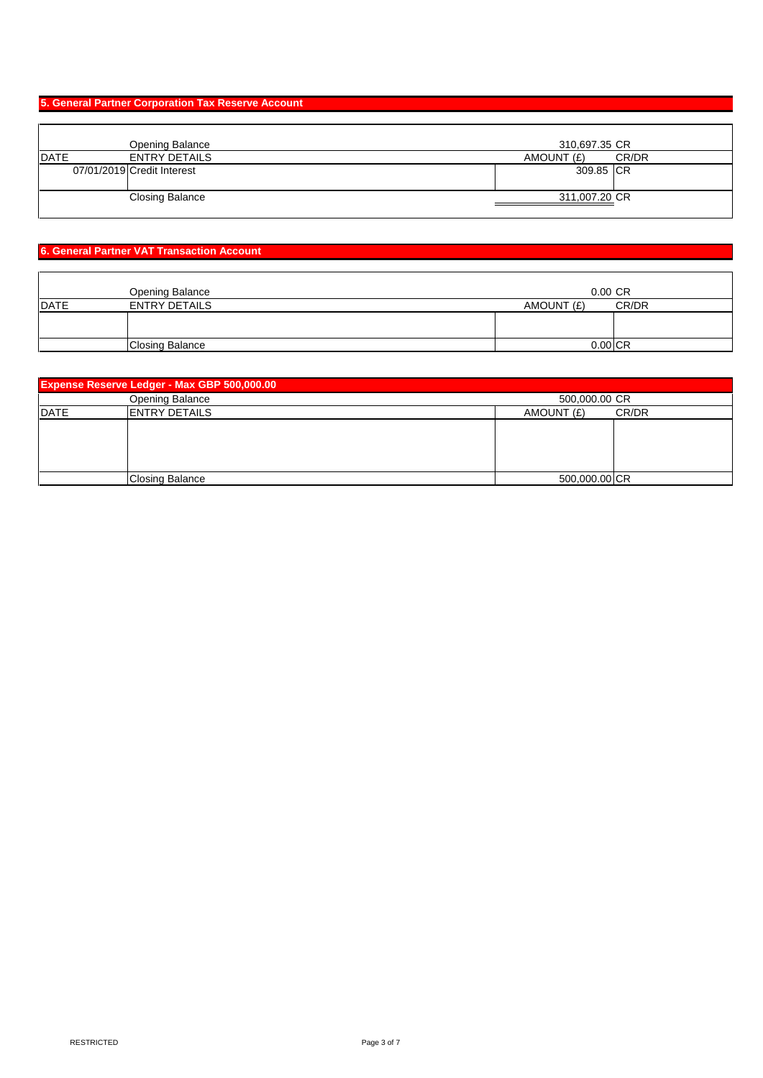## **5. General Partner Corporation Tax Reserve Account**

|             | Opening Balance            | 310,697.35 CR |       |
|-------------|----------------------------|---------------|-------|
| <b>DATE</b> | <b>ENTRY DETAILS</b>       | AMOUNT (£)    | CR/DR |
|             | 07/01/2019 Credit Interest | 309.85 CR     |       |
|             | Closing Balance            | 311,007.20 CR |       |

#### **6. General Partner VAT Transaction Account**

|             | Opening Balance        | $0.00 \text{ CR}$ |       |
|-------------|------------------------|-------------------|-------|
| <b>DATE</b> | <b>ENTRY DETAILS</b>   | AMOUNT (£)        | CR/DR |
|             |                        |                   |       |
|             |                        |                   |       |
|             | <b>Closing Balance</b> | $0.00$ CR         |       |

|      | <b>Expense Reserve Ledger - Max GBP 500,000.00</b> |               |       |
|------|----------------------------------------------------|---------------|-------|
|      | <b>Opening Balance</b>                             | 500,000.00 CR |       |
| DATE | <b>ENTRY DETAILS</b>                               | AMOUNT (£)    | CR/DR |
|      |                                                    |               |       |
|      |                                                    |               |       |
|      |                                                    |               |       |
|      |                                                    |               |       |
|      | <b>Closing Balance</b>                             | 500,000.00 CR |       |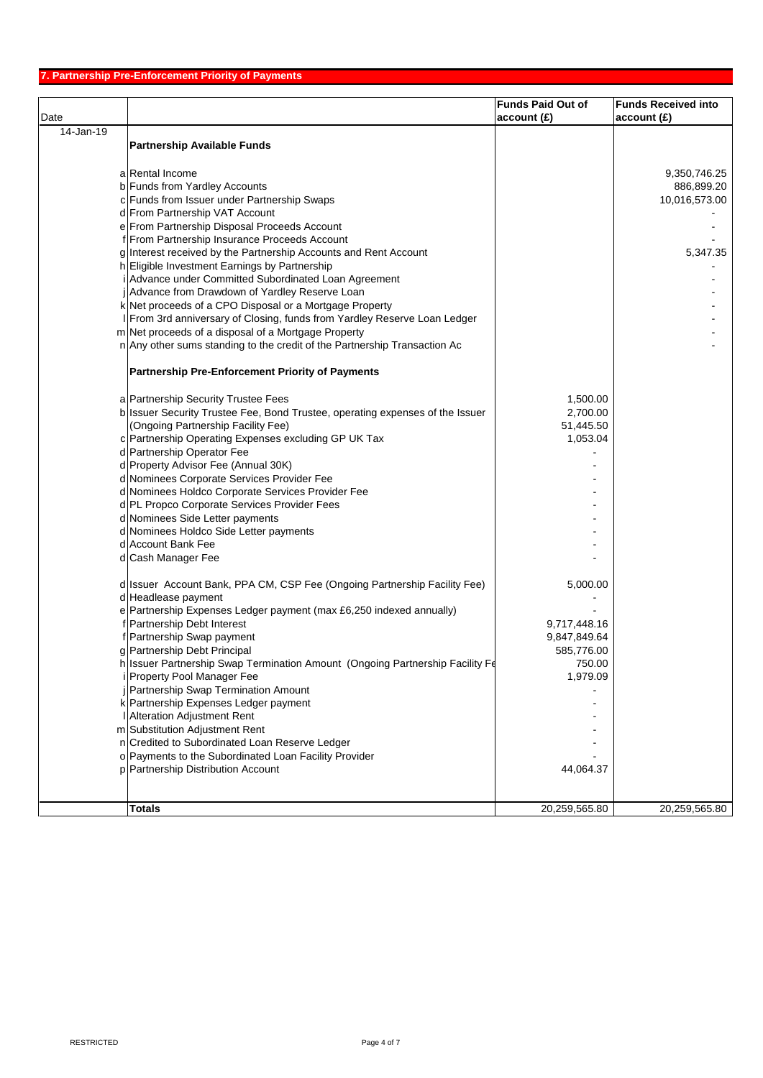| Date      |                                                                                                                                  | <b>Funds Paid Out of</b><br>account(E) | <b>Funds Received into</b><br>account(E) |
|-----------|----------------------------------------------------------------------------------------------------------------------------------|----------------------------------------|------------------------------------------|
| 14-Jan-19 |                                                                                                                                  |                                        |                                          |
|           | <b>Partnership Available Funds</b>                                                                                               |                                        |                                          |
|           |                                                                                                                                  |                                        |                                          |
|           | a Rental Income                                                                                                                  |                                        | 9,350,746.25                             |
|           | b Funds from Yardley Accounts                                                                                                    |                                        | 886,899.20                               |
|           | c Funds from Issuer under Partnership Swaps                                                                                      |                                        | 10,016,573.00                            |
|           | d From Partnership VAT Account                                                                                                   |                                        |                                          |
|           | e From Partnership Disposal Proceeds Account                                                                                     |                                        |                                          |
|           | From Partnership Insurance Proceeds Account                                                                                      |                                        |                                          |
|           | g Interest received by the Partnership Accounts and Rent Account                                                                 |                                        | 5,347.35                                 |
|           | h Eligible Investment Earnings by Partnership                                                                                    |                                        |                                          |
|           | Advance under Committed Subordinated Loan Agreement                                                                              |                                        |                                          |
|           | Advance from Drawdown of Yardley Reserve Loan                                                                                    |                                        |                                          |
|           | k Net proceeds of a CPO Disposal or a Mortgage Property                                                                          |                                        |                                          |
|           | I From 3rd anniversary of Closing, funds from Yardley Reserve Loan Ledger                                                        |                                        |                                          |
|           | m Net proceeds of a disposal of a Mortgage Property<br>n Any other sums standing to the credit of the Partnership Transaction Ac |                                        |                                          |
|           |                                                                                                                                  |                                        |                                          |
|           | <b>Partnership Pre-Enforcement Priority of Payments</b>                                                                          |                                        |                                          |
|           | a Partnership Security Trustee Fees                                                                                              | 1,500.00                               |                                          |
|           | b Issuer Security Trustee Fee, Bond Trustee, operating expenses of the Issuer                                                    | 2,700.00                               |                                          |
|           | (Ongoing Partnership Facility Fee)                                                                                               | 51,445.50                              |                                          |
|           | c Partnership Operating Expenses excluding GP UK Tax                                                                             | 1,053.04                               |                                          |
|           | d Partnership Operator Fee                                                                                                       |                                        |                                          |
|           | d Property Advisor Fee (Annual 30K)                                                                                              |                                        |                                          |
|           | d Nominees Corporate Services Provider Fee                                                                                       |                                        |                                          |
|           | d Nominees Holdco Corporate Services Provider Fee                                                                                |                                        |                                          |
|           | d PL Propco Corporate Services Provider Fees                                                                                     |                                        |                                          |
|           | d Nominees Side Letter payments                                                                                                  |                                        |                                          |
|           | d Nominees Holdco Side Letter payments                                                                                           |                                        |                                          |
|           | d Account Bank Fee                                                                                                               |                                        |                                          |
|           | d Cash Manager Fee                                                                                                               |                                        |                                          |
|           | d Issuer Account Bank, PPA CM, CSP Fee (Ongoing Partnership Facility Fee)                                                        | 5,000.00                               |                                          |
|           | d Headlease payment                                                                                                              |                                        |                                          |
|           | e Partnership Expenses Ledger payment (max £6,250 indexed annually)                                                              |                                        |                                          |
|           | Partnership Debt Interest                                                                                                        | 9,717,448.16                           |                                          |
|           | f Partnership Swap payment                                                                                                       | 9,847,849.64                           |                                          |
|           | g Partnership Debt Principal                                                                                                     | 585,776.00                             |                                          |
|           | h Issuer Partnership Swap Termination Amount (Ongoing Partnership Facility Fe                                                    | 750.00                                 |                                          |
|           | Property Pool Manager Fee                                                                                                        | 1,979.09                               |                                          |
|           | Partnership Swap Termination Amount                                                                                              |                                        |                                          |
|           | k Partnership Expenses Ledger payment                                                                                            |                                        |                                          |
|           | <b>Alteration Adjustment Rent</b>                                                                                                |                                        |                                          |
|           | m Substitution Adjustment Rent                                                                                                   |                                        |                                          |
|           | n Credited to Subordinated Loan Reserve Ledger                                                                                   |                                        |                                          |
|           | o Payments to the Subordinated Loan Facility Provider                                                                            |                                        |                                          |
|           | p Partnership Distribution Account                                                                                               | 44,064.37                              |                                          |
|           |                                                                                                                                  |                                        |                                          |
|           | <b>Totals</b>                                                                                                                    | 20,259,565.80                          | 20,259,565.80                            |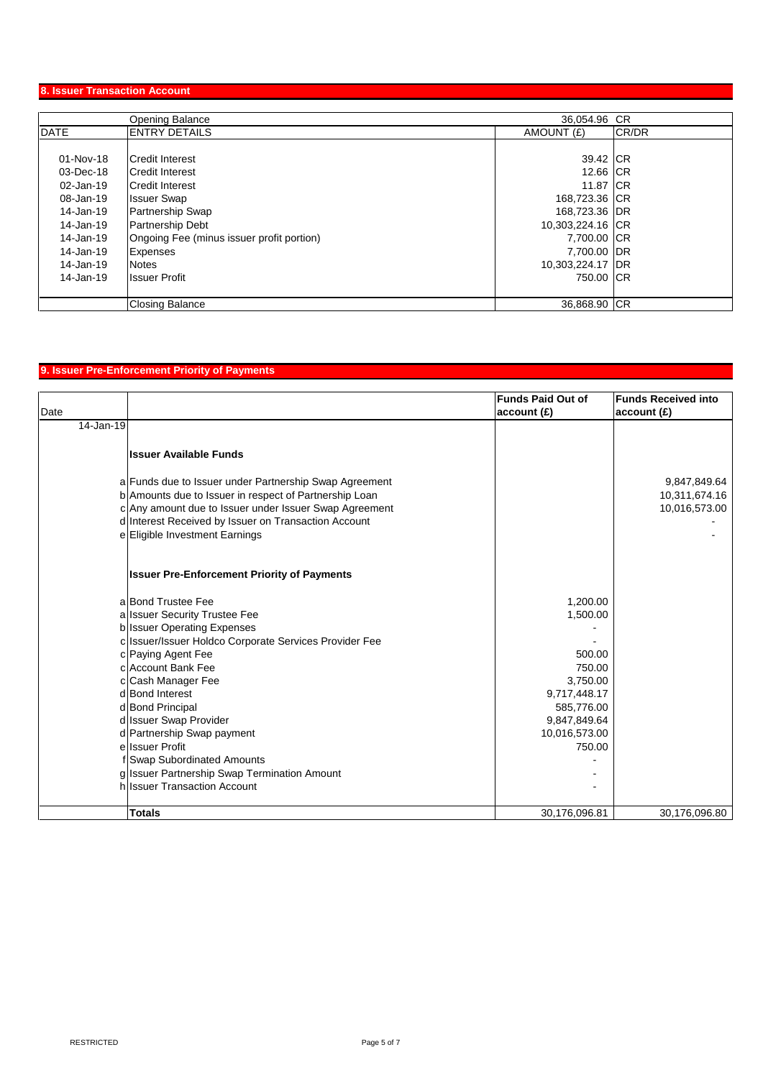#### **8. Issuer Transaction Account**

|             | Opening Balance                           | 36.054.96 CR     |       |
|-------------|-------------------------------------------|------------------|-------|
| <b>DATE</b> | <b>ENTRY DETAILS</b>                      | AMOUNT (£)       | CR/DR |
|             |                                           |                  |       |
| 01 Nov 18   | <b>Credit Interest</b>                    | 39.42 ICR        |       |
| 03-Dec-18   | <b>Credit Interest</b>                    | 12.66 CR         |       |
| 02-Jan-19   | <b>Credit Interest</b>                    | 11.87 ICR        |       |
| 08-Jan-19   | <b>Issuer Swap</b>                        | 168,723.36 CR    |       |
| 14-Jan-19   | <b>Partnership Swap</b>                   | 168,723.36 DR    |       |
| 14-Jan-19   | <b>Partnership Debt</b>                   | 10,303,224.16 CR |       |
| 14-Jan-19   | Ongoing Fee (minus issuer profit portion) | 7,700.00 CR      |       |
| 14-Jan-19   | Expenses                                  | 7,700.00 DR      |       |
| 14-Jan-19   | <b>Notes</b>                              | 10,303,224.17 DR |       |
| 14-Jan-19   | <b>Issuer Profit</b>                      | 750.00 ICR       |       |
|             |                                           |                  |       |
|             | <b>Closing Balance</b>                    | 36,868.90 CR     |       |

## **9. Issuer Pre-Enforcement Priority of Payments**

| Date      |                                                        | <b>Funds Paid Out of</b><br>account(E) | <b>Funds Received into</b><br>account(E) |
|-----------|--------------------------------------------------------|----------------------------------------|------------------------------------------|
| 14-Jan-19 |                                                        |                                        |                                          |
|           |                                                        |                                        |                                          |
|           | <b>Issuer Available Funds</b>                          |                                        |                                          |
|           | a Funds due to Issuer under Partnership Swap Agreement |                                        | 9,847,849.64                             |
|           | b Amounts due to Issuer in respect of Partnership Loan |                                        | 10,311,674.16                            |
|           | c Any amount due to Issuer under Issuer Swap Agreement |                                        | 10,016,573.00                            |
|           | d Interest Received by Issuer on Transaction Account   |                                        |                                          |
|           | e Eligible Investment Earnings                         |                                        |                                          |
|           | <b>Issuer Pre-Enforcement Priority of Payments</b>     |                                        |                                          |
|           | a Bond Trustee Fee                                     | 1,200.00                               |                                          |
|           | a Issuer Security Trustee Fee                          | 1,500.00                               |                                          |
|           | b Issuer Operating Expenses                            |                                        |                                          |
|           | c Issuer/Issuer Holdco Corporate Services Provider Fee |                                        |                                          |
|           | c Paying Agent Fee                                     | 500.00                                 |                                          |
|           | c Account Bank Fee                                     | 750.00                                 |                                          |
|           | c Cash Manager Fee                                     | 3.750.00                               |                                          |
|           | d Bond Interest                                        | 9,717,448.17                           |                                          |
|           | d Bond Principal                                       | 585,776.00                             |                                          |
|           | d Issuer Swap Provider                                 | 9,847,849.64                           |                                          |
|           | d Partnership Swap payment                             | 10,016,573.00                          |                                          |
|           | ellssuer Profit                                        | 750.00                                 |                                          |
|           | f Swap Subordinated Amounts                            |                                        |                                          |
|           | g Issuer Partnership Swap Termination Amount           |                                        |                                          |
|           | h Issuer Transaction Account                           |                                        |                                          |
|           | <b>Totals</b>                                          | 30,176,096.81                          | 30,176,096.80                            |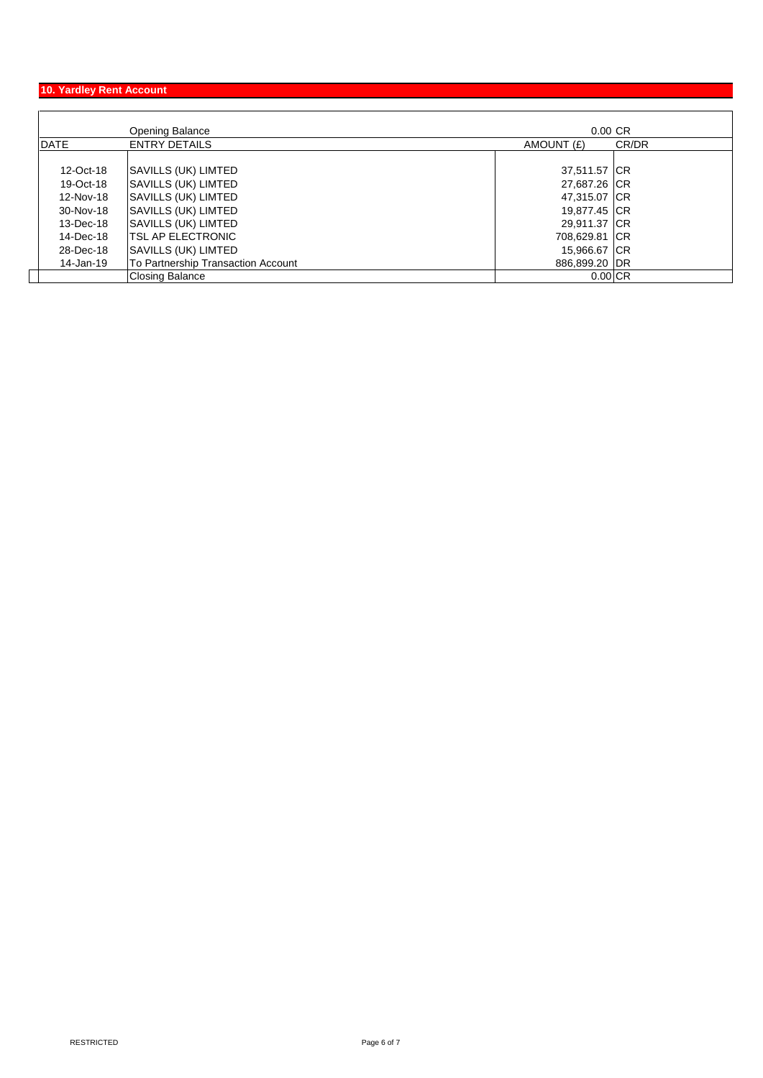### **10. Yardley Rent Account**

|             | Opening Balance                    | $0.00 \, \text{CR}$ |  |
|-------------|------------------------------------|---------------------|--|
| <b>DATE</b> | <b>ENTRY DETAILS</b>               | CR/DR<br>AMOUNT (£) |  |
|             |                                    |                     |  |
| 12-Oct-18   | SAVILLS (UK) LIMTED                | 37,511.57 CR        |  |
| 19-Oct-18   | SAVILLS (UK) LIMTED                | 27,687.26 CR        |  |
| 12-Nov-18   | SAVILLS (UK) LIMTED                | 47,315.07 CR        |  |
| 30-Nov-18   | SAVILLS (UK) LIMTED                | 19,877.45 CR        |  |
| 13-Dec-18   | <b>SAVILLS (UK) LIMTED</b>         | 29,911.37 CR        |  |
| 14-Dec-18   | <b>ITSL AP ELECTRONIC</b>          | 708,629.81 CR       |  |
| 28-Dec-18   | SAVILLS (UK) LIMTED                | 15,966.67 CR        |  |
| 14-Jan-19   | To Partnership Transaction Account | 886,899.20 DR       |  |
|             | <b>Closing Balance</b>             | $0.00$ CR           |  |